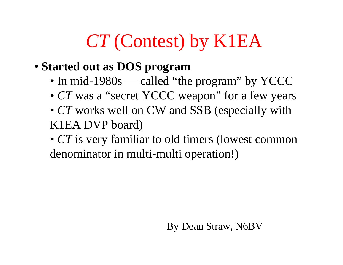### *CT* (Contest) by K1EA

- **Started out as DOS program**
	- In mid-1980s called "the program" by YCCC
	- *CT* was a "secret YCCC weapon" for a few years
	- *CT* works well on CW and SSB (especially with K1EA DVP board)
	- *CT* is very familiar to old timers (lowest common denominator in multi-multi operation!)

By Dean Straw, N6BV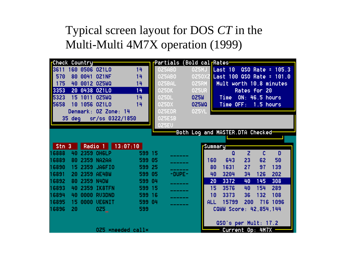#### Typical screen layout for DOS *CT* in the Multi-Multi 4M7X operation (1999)

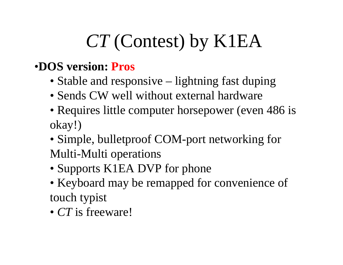# *CT* (Contest) by K1EA

#### •**DOS version: Pros**

- Stable and responsive lightning fast duping
- Sends CW well without external hardware
- Requires little computer horsepower (even 486 is okay!)
- Simple, bulletproof COM-port networking for Multi-Multi operations
- Supports K1EA DVP for phone
- Keyboard may be remapped for convenience of touch typist
- *CT* is freeware!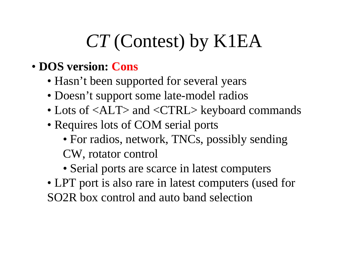## *CT* (Contest) by K1EA

- **DOS version: Cons**
	- Hasn't been supported for several years
	- Doesn't support some late-model radios
	- Lots of <ALT> and <CTRL> keyboard commands
	- Requires lots of COM serial ports
		- For radios, network, TNCs, possibly sending CW, rotator control
		- Serial ports are scarce in latest computers
	- LPT port is also rare in latest computers (used for SO2R box control and auto band selection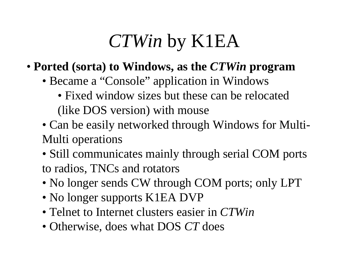## *CTWin* by K1EA

- **Ported (sorta) to Windows, as the** *CTWin* **program**
	- Became a "Console" application in Windows
		- Fixed window sizes but these can be relocated (like DOS version) with mouse
	- Can be easily networked through Windows for Multi-Multi operations
	- Still communicates mainly through serial COM ports to radios, TNCs and rotators
	- No longer sends CW through COM ports; only LPT
	- No longer supports K1EA DVP
	- Telnet to Internet clusters easier in *CTWin*
	- Otherwise, does what DOS *CT* does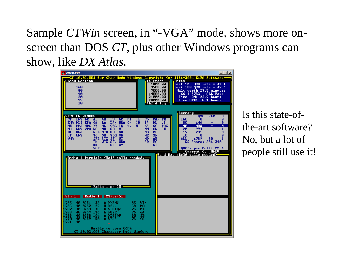Sample *CTWin* screen, in "-VGA" mode, shows more onscreen than DOS *CT*, plus other Windows programs can show, like *DX Atlas*.



Is this state-ofthe-art software? No, but a lot of people still use it!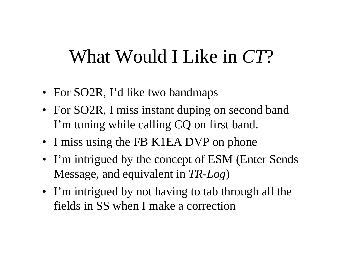#### What Would I Like in *CT*?

- For SO2R, I'd like two bandmaps
- For SO2R, I miss instant duping on second band I'm tuning while calling CQ on first band.
- I miss using the FB K1EA DVP on phone
- I'm intrigued by the concept of ESM (Enter Sends Message, and equivalent in *TR-Log* )
- I'm intrigued by not having to tab through all the fields in SS when I make a correction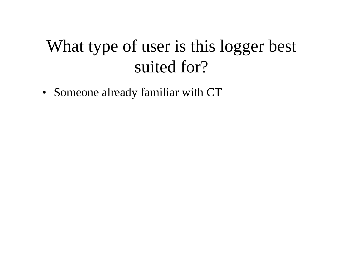#### What type of user is this logger best suited for?

• Someone already familiar with CT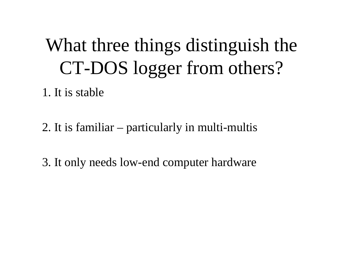# What three things distinguish the CT-DOS logger from others?

1. It is stable

2. It is familiar – particularly in multi-multis

3. It only needs low-end computer hardware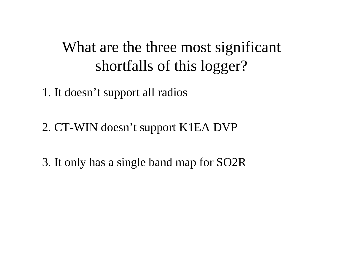#### What are the three most significant shortfalls of this logger?

1. It doesn't support all radios

2. CT-WIN doesn't support K1EA DVP

3. It only has a single band map for SO2R